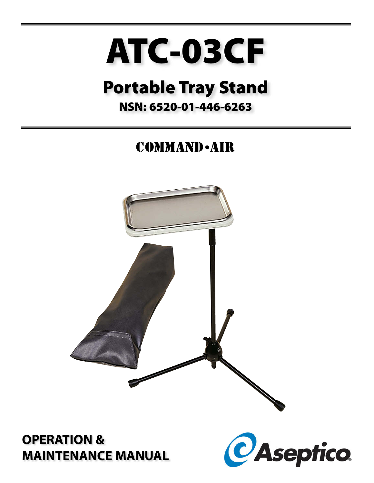# ATC-03CF

# **Portable Tray Stand**

### NSN: 6520-01-446-6263

# **COMMAND** - AIR



## **OPERATION & MAINTENANCE MANUAL**

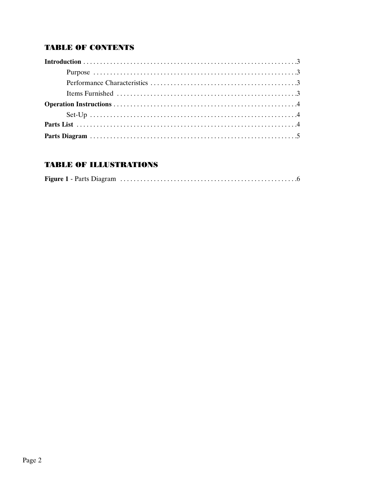#### **TABLE OF CONTENTS**

#### **TABLE OF ILLUSTRATIONS**

|--|--|--|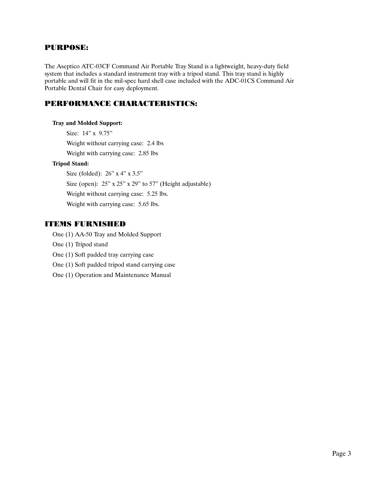#### PURPOSE:

The Aseptico ATC-03CF Command Air Portable Tray Stand is a lightweight, heavy-duty field system that includes a standard instrument tray with a tripod stand. This tray stand is highly portable and will fit in the mil-spec hard shell case included with the ADC-01CS Command Air Portable Dental Chair for easy deployment.

#### PERFORMANCE CHARACTERISTICS:

#### **Tray and Molded Support:**

Size: 14" x 9.75" Weight without carrying case: 2.4 lbs Weight with carrying case: 2.85 lbs **Tripod Stand:** Size (folded): 26" x 4" x 3.5"

Size (open):  $25$ " x  $25$ " x  $29$ " to  $57$ " (Height adjustable) Weight without carrying case: 5.25 lbs. Weight with carrying case: 5.65 lbs.

#### ITEMS FURNISHED

One (1) AA-50 Tray and Molded Support

- One (1) Tripod stand
- One (1) Soft padded tray carrying case
- One (1) Soft padded tripod stand carrying case
- One (1) Operation and Maintenance Manual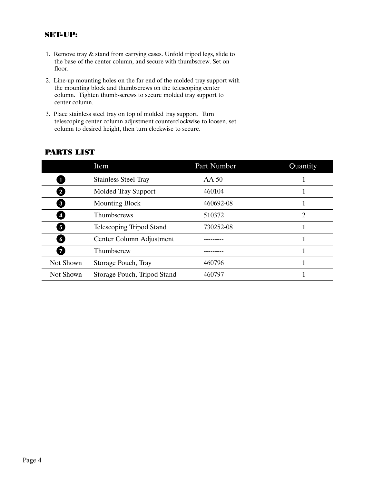#### SET-UP:

- 1. Remove tray & stand from carrying cases. Unfold tripod legs, slide to the base of the center column, and secure with thumbscrew. Set on floor.
- 2. Line-up mounting holes on the far end of the molded tray support with the mounting block and thumbscrews on the telescoping center column. Tighten thumb-screws to secure molded tray support to center column.
- 3. Place stainless steel tray on top of molded tray support. Turn telescoping center column adjustment counterclockwise to loosen, set column to desired height, then turn clockwise to secure.

|                         | Item                        | Part Number | Quantity |
|-------------------------|-----------------------------|-------------|----------|
|                         | <b>Stainless Steel Tray</b> | $AA-50$     |          |
| $\overline{\mathbf{2}}$ | <b>Molded Tray Support</b>  | 460104      |          |
| $\mathbf{3}$            | <b>Mounting Block</b>       | 460692-08   |          |
| 4                       | Thumbscrews                 | 510372      | 2        |
| $\overline{\mathbf{5}}$ | Telescoping Tripod Stand    | 730252-08   |          |
| 6                       | Center Column Adjustment    |             |          |
|                         | Thumbscrew                  |             |          |
| Not Shown               | Storage Pouch, Tray         | 460796      |          |
| Not Shown               | Storage Pouch, Tripod Stand | 460797      |          |

#### PARTS LIST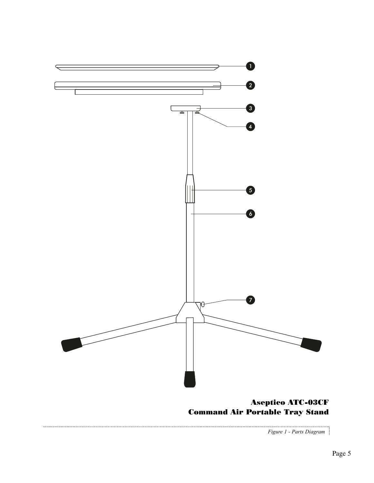

*Figure 1 - Parts Diagram*